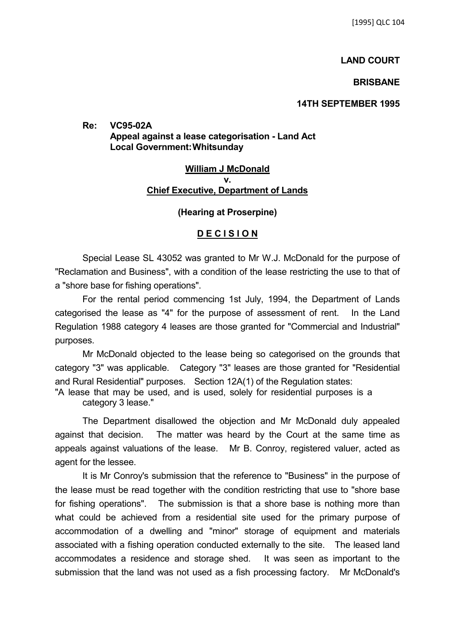### **LAND COURT**

### **BRISBANE**

# **14TH SEPTEMBER 1995**

**Re: VC95-02A Appeal against a lease categorisation - Land Act Local Government:Whitsunday**

# **William J McDonald v. Chief Executive, Department of Lands**

## **(Hearing at Proserpine)**

## **D E C I S I O N**

Special Lease SL 43052 was granted to Mr W.J. McDonald for the purpose of "Reclamation and Business", with a condition of the lease restricting the use to that of a "shore base for fishing operations".

For the rental period commencing 1st July, 1994, the Department of Lands categorised the lease as "4" for the purpose of assessment of rent. In the Land Regulation 1988 category 4 leases are those granted for "Commercial and Industrial" purposes.

Mr McDonald objected to the lease being so categorised on the grounds that category "3" was applicable. Category "3" leases are those granted for "Residential and Rural Residential" purposes. Section 12A(1) of the Regulation states:

"A lease that may be used, and is used, solely for residential purposes is a category 3 lease."

The Department disallowed the objection and Mr McDonald duly appealed against that decision. The matter was heard by the Court at the same time as appeals against valuations of the lease. Mr B. Conroy, registered valuer, acted as agent for the lessee.

It is Mr Conroy's submission that the reference to "Business" in the purpose of the lease must be read together with the condition restricting that use to "shore base for fishing operations". The submission is that a shore base is nothing more than what could be achieved from a residential site used for the primary purpose of accommodation of a dwelling and "minor" storage of equipment and materials associated with a fishing operation conducted externally to the site. The leased land accommodates a residence and storage shed. It was seen as important to the submission that the land was not used as a fish processing factory. Mr McDonald's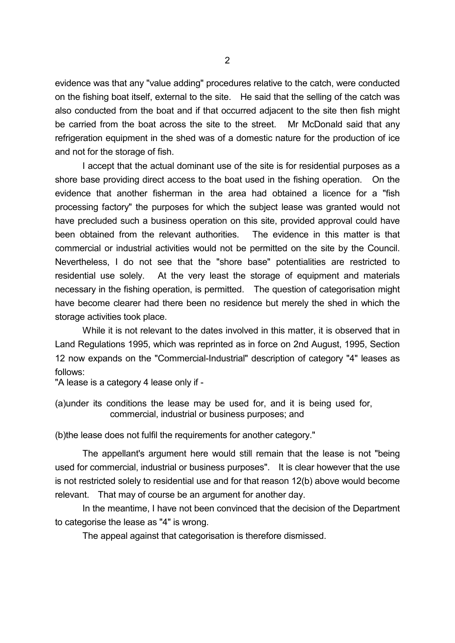evidence was that any "value adding" procedures relative to the catch, were conducted on the fishing boat itself, external to the site. He said that the selling of the catch was also conducted from the boat and if that occurred adjacent to the site then fish might be carried from the boat across the site to the street. Mr McDonald said that any refrigeration equipment in the shed was of a domestic nature for the production of ice and not for the storage of fish.

I accept that the actual dominant use of the site is for residential purposes as a shore base providing direct access to the boat used in the fishing operation. On the evidence that another fisherman in the area had obtained a licence for a "fish processing factory" the purposes for which the subject lease was granted would not have precluded such a business operation on this site, provided approval could have been obtained from the relevant authorities. The evidence in this matter is that commercial or industrial activities would not be permitted on the site by the Council. Nevertheless, I do not see that the "shore base" potentialities are restricted to residential use solely. At the very least the storage of equipment and materials necessary in the fishing operation, is permitted. The question of categorisation might have become clearer had there been no residence but merely the shed in which the storage activities took place.

While it is not relevant to the dates involved in this matter, it is observed that in Land Regulations 1995, which was reprinted as in force on 2nd August, 1995, Section 12 now expands on the "Commercial-Industrial" description of category "4" leases as follows:

"A lease is a category 4 lease only if -

(a)under its conditions the lease may be used for, and it is being used for, commercial, industrial or business purposes; and

(b)the lease does not fulfil the requirements for another category."

The appellant's argument here would still remain that the lease is not "being used for commercial, industrial or business purposes". It is clear however that the use is not restricted solely to residential use and for that reason 12(b) above would become relevant. That may of course be an argument for another day.

In the meantime, I have not been convinced that the decision of the Department to categorise the lease as "4" is wrong.

The appeal against that categorisation is therefore dismissed.